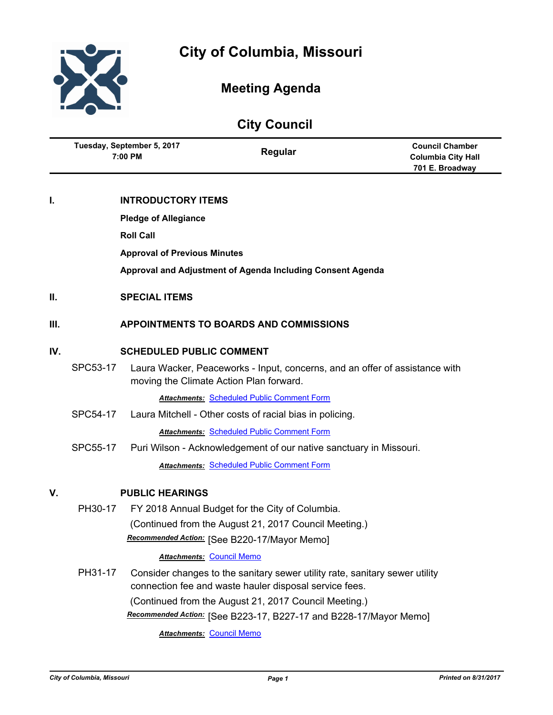

# **Meeting Agenda**

|     | <b>City Council</b>                   |                                     |                                                                                                                                                                                                |                                                                        |  |  |
|-----|---------------------------------------|-------------------------------------|------------------------------------------------------------------------------------------------------------------------------------------------------------------------------------------------|------------------------------------------------------------------------|--|--|
|     | Tuesday, September 5, 2017<br>7:00 PM |                                     | Regular                                                                                                                                                                                        | <b>Council Chamber</b><br><b>Columbia City Hall</b><br>701 E. Broadway |  |  |
| I.  |                                       | <b>INTRODUCTORY ITEMS</b>           |                                                                                                                                                                                                |                                                                        |  |  |
|     |                                       | <b>Pledge of Allegiance</b>         |                                                                                                                                                                                                |                                                                        |  |  |
|     |                                       | <b>Roll Call</b>                    |                                                                                                                                                                                                |                                                                        |  |  |
|     |                                       | <b>Approval of Previous Minutes</b> |                                                                                                                                                                                                |                                                                        |  |  |
|     |                                       |                                     | Approval and Adjustment of Agenda Including Consent Agenda                                                                                                                                     |                                                                        |  |  |
| Ш.  |                                       | <b>SPECIAL ITEMS</b>                |                                                                                                                                                                                                |                                                                        |  |  |
| Ш.  |                                       |                                     | <b>APPOINTMENTS TO BOARDS AND COMMISSIONS</b>                                                                                                                                                  |                                                                        |  |  |
| IV. |                                       | <b>SCHEDULED PUBLIC COMMENT</b>     |                                                                                                                                                                                                |                                                                        |  |  |
|     | SPC53-17                              |                                     | Laura Wacker, Peaceworks - Input, concerns, and an offer of assistance with<br>moving the Climate Action Plan forward.                                                                         |                                                                        |  |  |
|     |                                       |                                     | <b>Attachments: Scheduled Public Comment Form</b>                                                                                                                                              |                                                                        |  |  |
|     | SPC54-17                              |                                     | Laura Mitchell - Other costs of racial bias in policing.                                                                                                                                       |                                                                        |  |  |
|     |                                       |                                     | <b>Attachments: Scheduled Public Comment Form</b>                                                                                                                                              |                                                                        |  |  |
|     | SPC55-17                              |                                     | Puri Wilson - Acknowledgement of our native sanctuary in Missouri.                                                                                                                             |                                                                        |  |  |
|     |                                       |                                     | <b>Attachments: Scheduled Public Comment Form</b>                                                                                                                                              |                                                                        |  |  |
| V.  |                                       | <b>PUBLIC HEARINGS</b>              |                                                                                                                                                                                                |                                                                        |  |  |
|     | PH30-17                               |                                     | FY 2018 Annual Budget for the City of Columbia.                                                                                                                                                |                                                                        |  |  |
|     |                                       |                                     | (Continued from the August 21, 2017 Council Meeting.)                                                                                                                                          |                                                                        |  |  |
|     |                                       |                                     | Recommended Action: [See B220-17/Mayor Memo]                                                                                                                                                   |                                                                        |  |  |
|     |                                       |                                     | <b>Attachments: Council Memo</b>                                                                                                                                                               |                                                                        |  |  |
|     | PH31-17                               |                                     | Consider changes to the sanitary sewer utility rate, sanitary sewer utility<br>connection fee and waste hauler disposal service fees.<br>(Continued from the August 21, 2017 Council Meeting.) |                                                                        |  |  |
|     |                                       |                                     | Recommended Action: [See B223-17, B227-17 and B228-17/Mayor Memo]                                                                                                                              |                                                                        |  |  |
|     |                                       |                                     | <b>Attachments: Council Memo</b>                                                                                                                                                               |                                                                        |  |  |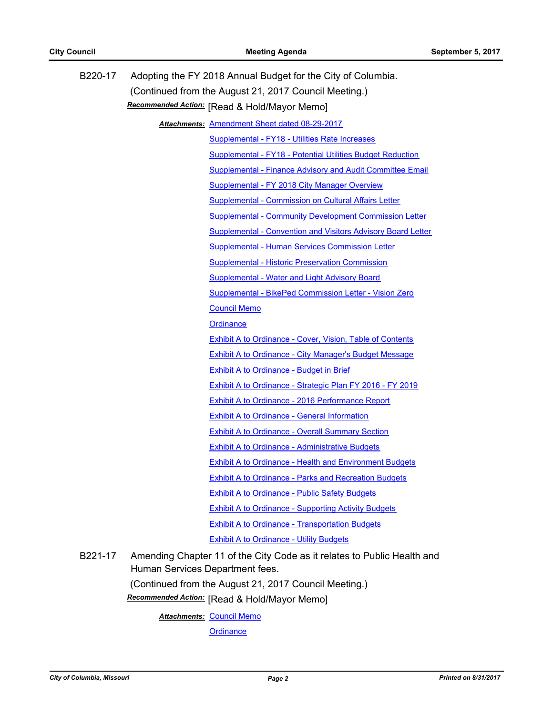| B220-17 |                                              | Adopting the FY 2018 Annual Budget for the City of Columbia.            |  |  |
|---------|----------------------------------------------|-------------------------------------------------------------------------|--|--|
|         |                                              | (Continued from the August 21, 2017 Council Meeting.)                   |  |  |
|         | Recommended Action: [Read & Hold/Mayor Memo] |                                                                         |  |  |
|         |                                              | Attachments: Amendment Sheet dated 08-29-2017                           |  |  |
|         |                                              | Supplemental - FY18 - Utilities Rate Increases                          |  |  |
|         |                                              | <b>Supplemental - FY18 - Potential Utilities Budget Reduction</b>       |  |  |
|         |                                              | Supplemental - Finance Advisory and Audit Committee Email               |  |  |
|         |                                              | Supplemental - FY 2018 City Manager Overview                            |  |  |
|         |                                              | Supplemental - Commission on Cultural Affairs Letter                    |  |  |
|         |                                              | <b>Supplemental - Community Development Commission Letter</b>           |  |  |
|         |                                              | <b>Supplemental - Convention and Visitors Advisory Board Letter</b>     |  |  |
|         |                                              | Supplemental - Human Services Commission Letter                         |  |  |
|         |                                              | <b>Supplemental - Historic Preservation Commission</b>                  |  |  |
|         |                                              | <b>Supplemental - Water and Light Advisory Board</b>                    |  |  |
|         |                                              | Supplemental - BikePed Commission Letter - Vision Zero                  |  |  |
|         |                                              | <b>Council Memo</b>                                                     |  |  |
|         |                                              | Ordinance                                                               |  |  |
|         |                                              | <b>Exhibit A to Ordinance - Cover, Vision, Table of Contents</b>        |  |  |
|         |                                              | <b>Exhibit A to Ordinance - City Manager's Budget Message</b>           |  |  |
|         |                                              | <b>Exhibit A to Ordinance - Budget in Brief</b>                         |  |  |
|         |                                              | Exhibit A to Ordinance - Strategic Plan FY 2016 - FY 2019               |  |  |
|         |                                              | <b>Exhibit A to Ordinance - 2016 Performance Report</b>                 |  |  |
|         |                                              | <b>Exhibit A to Ordinance - General Information</b>                     |  |  |
|         |                                              | <b>Exhibit A to Ordinance - Overall Summary Section</b>                 |  |  |
|         |                                              | <b>Exhibit A to Ordinance - Administrative Budgets</b>                  |  |  |
|         |                                              | <b>Exhibit A to Ordinance - Health and Environment Budgets</b>          |  |  |
|         |                                              | <b>Exhibit A to Ordinance - Parks and Recreation Budgets</b>            |  |  |
|         |                                              | <b>Exhibit A to Ordinance - Public Safety Budgets</b>                   |  |  |
|         |                                              | <b>Exhibit A to Ordinance - Supporting Activity Budgets</b>             |  |  |
|         |                                              | <b>Exhibit A to Ordinance - Transportation Budgets</b>                  |  |  |
|         |                                              | <b>Exhibit A to Ordinance - Utility Budgets</b>                         |  |  |
| B221-17 | Human Services Department fees.              | Amending Chapter 11 of the City Code as it relates to Public Health and |  |  |

(Continued from the August 21, 2017 Council Meeting.)

**Recommended Action:** [Read & Hold/Mayor Memo]

<u>Attachments: [Council Memo](http://gocolumbiamo.legistar.com/gateway.aspx?M=F&ID=084dbe6f-a7a3-499c-9326-501d82815b87.docx)</u>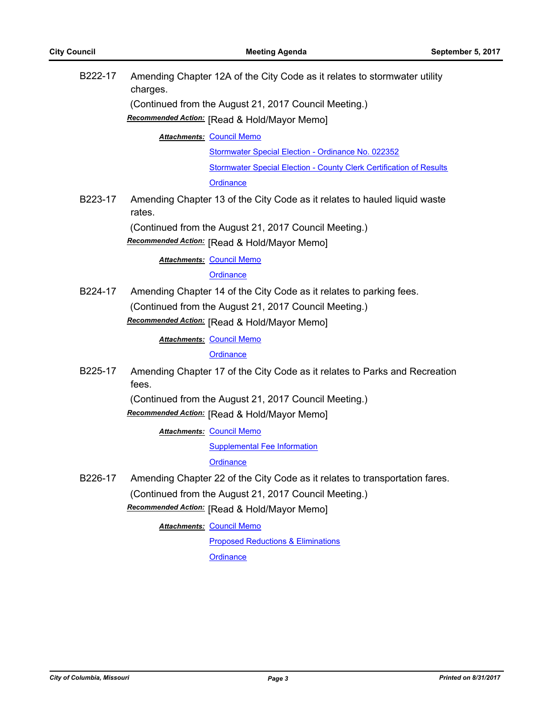| B222-17 | Amending Chapter 12A of the City Code as it relates to stormwater utility<br>charges. |
|---------|---------------------------------------------------------------------------------------|
|         | (Continued from the August 21, 2017 Council Meeting.)                                 |
|         | Recommended Action: [Read & Hold/Mayor Memo]                                          |
|         | <b>Attachments: Council Memo</b>                                                      |
|         | Stormwater Special Election - Ordinance No. 022352                                    |
|         | <b>Stormwater Special Election - County Clerk Certification of Results</b>            |
|         | Ordinance                                                                             |
| B223-17 | Amending Chapter 13 of the City Code as it relates to hauled liquid waste<br>rates.   |
|         | (Continued from the August 21, 2017 Council Meeting.)                                 |
|         | Recommended Action: [Read & Hold/Mayor Memo]                                          |
|         | <b>Attachments: Council Memo</b>                                                      |
|         | Ordinance                                                                             |
| B224-17 | Amending Chapter 14 of the City Code as it relates to parking fees.                   |
|         | (Continued from the August 21, 2017 Council Meeting.)                                 |
|         | Recommended Action: [Read & Hold/Mayor Memo]                                          |
|         | <b>Attachments: Council Memo</b>                                                      |
|         | Ordinance                                                                             |
| B225-17 | Amending Chapter 17 of the City Code as it relates to Parks and Recreation<br>fees.   |
|         | (Continued from the August 21, 2017 Council Meeting.)                                 |
|         | Recommended Action: [Read & Hold/Mayor Memo]                                          |
|         | <b>Attachments: Council Memo</b>                                                      |
|         | <b>Supplemental Fee Information</b>                                                   |
|         | Ordinance                                                                             |
| B226-17 | Amending Chapter 22 of the City Code as it relates to transportation fares.           |
|         | (Continued from the August 21, 2017 Council Meeting.)                                 |
|         | Recommended Action: [Read & Hold/Mayor Memo]                                          |
|         | <b>Attachments: Council Memo</b>                                                      |
|         | <b>Proposed Reductions &amp; Eliminations</b>                                         |
|         | Ordinance                                                                             |
|         |                                                                                       |
|         |                                                                                       |
|         |                                                                                       |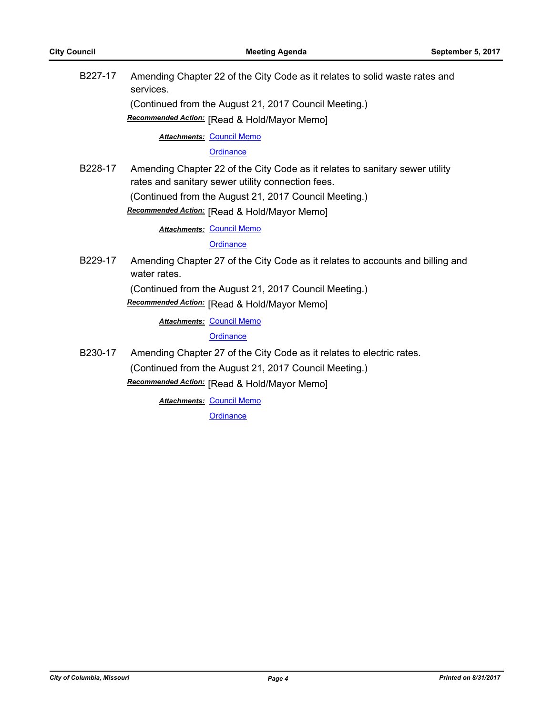| B <sub>227</sub> -17 | Amending Chapter 22 of the City Code as it relates to solid waste rates and<br>services.                                          |
|----------------------|-----------------------------------------------------------------------------------------------------------------------------------|
|                      | (Continued from the August 21, 2017 Council Meeting.)                                                                             |
|                      | Recommended Action: [Read & Hold/Mayor Memo]                                                                                      |
|                      | Attachments: Council Memo                                                                                                         |
|                      | Ordinance                                                                                                                         |
| B <sub>228</sub> -17 | Amending Chapter 22 of the City Code as it relates to sanitary sewer utility<br>rates and sanitary sewer utility connection fees. |
|                      | (Continued from the August 21, 2017 Council Meeting.)                                                                             |
|                      | Recommended Action: [Read & Hold/Mayor Memo]                                                                                      |
|                      | <b>Attachments: Council Memo</b>                                                                                                  |
|                      | Ordinance                                                                                                                         |
| B <sub>229</sub> -17 | Amending Chapter 27 of the City Code as it relates to accounts and billing and<br>water rates.                                    |
|                      | (Continued from the August 21, 2017 Council Meeting.)                                                                             |
|                      | Recommended Action: [Read & Hold/Mayor Memo]                                                                                      |
|                      | <b>Attachments: Council Memo</b>                                                                                                  |
|                      | Ordinance                                                                                                                         |
| B230-17              | Amending Chapter 27 of the City Code as it relates to electric rates.                                                             |
|                      | (Continued from the August 21, 2017 Council Meeting.)                                                                             |
|                      |                                                                                                                                   |

[Read & Hold/Mayor Memo] *Recommended Action:*

**Attachments: [Council Memo](http://gocolumbiamo.legistar.com/gateway.aspx?M=F&ID=4246a117-c2fa-4d45-a649-c6a360691788.docx) [Ordinance](http://gocolumbiamo.legistar.com/gateway.aspx?M=F&ID=9283813f-20d6-47a2-9814-f469ed56e7c6.doc)**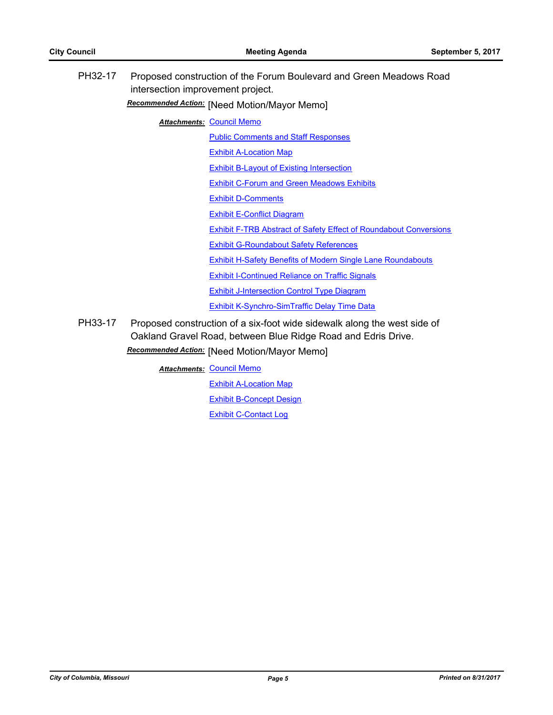| PH32-17 | intersection improvement project. | Proposed construction of the Forum Boulevard and Green Meadows Road      |
|---------|-----------------------------------|--------------------------------------------------------------------------|
|         |                                   | Recommended Action: [Need Motion/Mayor Memo]                             |
|         |                                   | <b>Attachments: Council Memo</b>                                         |
|         |                                   | <b>Public Comments and Staff Responses</b>                               |
|         |                                   | <b>Exhibit A-Location Map</b>                                            |
|         |                                   | <b>Exhibit B-Layout of Existing Intersection</b>                         |
|         |                                   | <b>Exhibit C-Forum and Green Meadows Exhibits</b>                        |
|         |                                   | <b>Exhibit D-Comments</b>                                                |
|         |                                   | <b>Exhibit E-Conflict Diagram</b>                                        |
|         |                                   | <b>Exhibit F-TRB Abstract of Safety Effect of Roundabout Conversions</b> |
|         |                                   | <b>Exhibit G-Roundabout Safety References</b>                            |
|         |                                   | <b>Exhibit H-Safety Benefits of Modern Single Lane Roundabouts</b>       |
|         |                                   | <b>Exhibit I-Continued Reliance on Traffic Signals</b>                   |
|         |                                   | <b>Exhibit J-Intersection Control Type Diagram</b>                       |
|         |                                   | Exhibit K-Synchro-SimTraffic Delay Time Data                             |
|         |                                   |                                                                          |

PH33-17 Proposed construction of a six-foot wide sidewalk along the west side of Oakland Gravel Road, between Blue Ridge Road and Edris Drive. [Need Motion/Mayor Memo] *Recommended Action:*

**Attachments: [Council Memo](http://gocolumbiamo.legistar.com/gateway.aspx?M=F&ID=c578d529-5c88-4f1c-a5ae-774c1c6a08cb.docx)** 

[Exhibit A-Location Map](http://gocolumbiamo.legistar.com/gateway.aspx?M=F&ID=556139ae-1db2-4f1e-b8d1-8c6c1f971c11.pdf)

[Exhibit B-Concept Design](http://gocolumbiamo.legistar.com/gateway.aspx?M=F&ID=bba69b2d-d31a-455d-bb20-b4452c92cb3b.pdf)

[Exhibit C-Contact Log](http://gocolumbiamo.legistar.com/gateway.aspx?M=F&ID=20b1341c-2e8e-41af-976c-4605210c0532.pdf)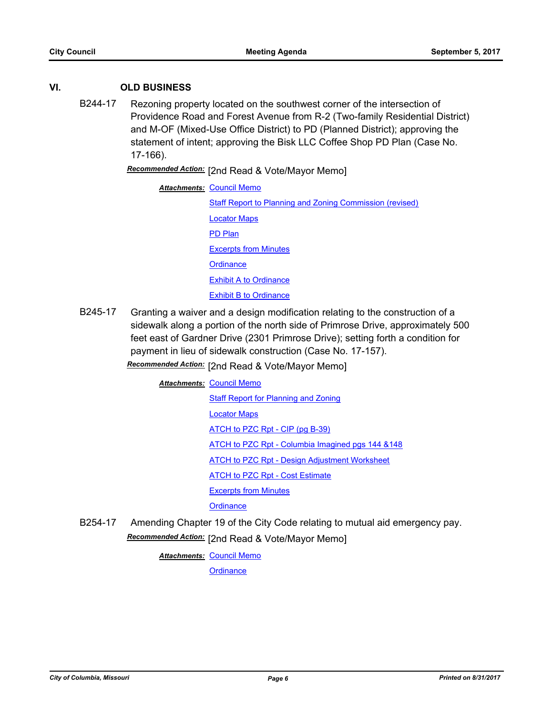# **VI. OLD BUSINESS**

B244-17 Rezoning property located on the southwest corner of the intersection of Providence Road and Forest Avenue from R-2 (Two-family Residential District) and M-OF (Mixed-Use Office District) to PD (Planned District); approving the statement of intent; approving the Bisk LLC Coffee Shop PD Plan (Case No. 17-166).

**Recommended Action:** [2nd Read & Vote/Mayor Memo]

| <b>Attachments: Council Memo</b>                         |  |
|----------------------------------------------------------|--|
| Staff Report to Planning and Zoning Commission (revised) |  |
| <b>Locator Maps</b>                                      |  |
| <b>PD Plan</b>                                           |  |
| <b>Excerpts from Minutes</b>                             |  |
| Ordinance                                                |  |
| <b>Exhibit A to Ordinance</b>                            |  |
| <b>Exhibit B to Ordinance</b>                            |  |

B245-17 Granting a waiver and a design modification relating to the construction of a sidewalk along a portion of the north side of Primrose Drive, approximately 500 feet east of Gardner Drive (2301 Primrose Drive); setting forth a condition for payment in lieu of sidewalk construction (Case No. 17-157).

Recommended Action: [2nd Read & Vote/Mayor Memo]

**Attachments: [Council Memo](http://gocolumbiamo.legistar.com/gateway.aspx?M=F&ID=f9bab337-f60a-4337-8cf5-dc945bb7ac61.docx)** 

[Staff Report for Planning and Zoning](http://gocolumbiamo.legistar.com/gateway.aspx?M=F&ID=909dd60a-8bb9-4655-92d0-88c1c6e3ed44.pdf) [Locator Maps](http://gocolumbiamo.legistar.com/gateway.aspx?M=F&ID=8e168b2e-b1e9-4317-ae3b-317727b280fe.pdf) [ATCH to PZC Rpt - CIP \(pg B-39\)](http://gocolumbiamo.legistar.com/gateway.aspx?M=F&ID=98057aee-6cdc-4456-b873-a90df2024f60.pdf) [ATCH to PZC Rpt - Columbia Imagined pgs 144 &148](http://gocolumbiamo.legistar.com/gateway.aspx?M=F&ID=f8b6f445-8b05-40ec-92c2-95acebced804.pdf) [ATCH to PZC Rpt - Design Adjustment Worksheet](http://gocolumbiamo.legistar.com/gateway.aspx?M=F&ID=d5395f31-b7e2-439b-9f6f-6dbdb5a97a21.pdf) **[ATCH to PZC Rpt - Cost Estimate](http://gocolumbiamo.legistar.com/gateway.aspx?M=F&ID=0baa6ceb-7bdc-4b0d-9188-f3b685419fa9.pdf)** [Excerpts from Minutes](http://gocolumbiamo.legistar.com/gateway.aspx?M=F&ID=0a5498e9-3df6-4779-b4ae-d17b74effa2c.docx) **[Ordinance](http://gocolumbiamo.legistar.com/gateway.aspx?M=F&ID=26a57362-c812-4299-b4c5-6c5386d69d53.doc)** 

B254-17 Amending Chapter 19 of the City Code relating to mutual aid emergency pay. **Recommended Action:** [2nd Read & Vote/Mayor Memo]

**Attachments: [Council Memo](http://gocolumbiamo.legistar.com/gateway.aspx?M=F&ID=3adfbad4-d8bb-4692-a8aa-9f0875597f4f.docx)**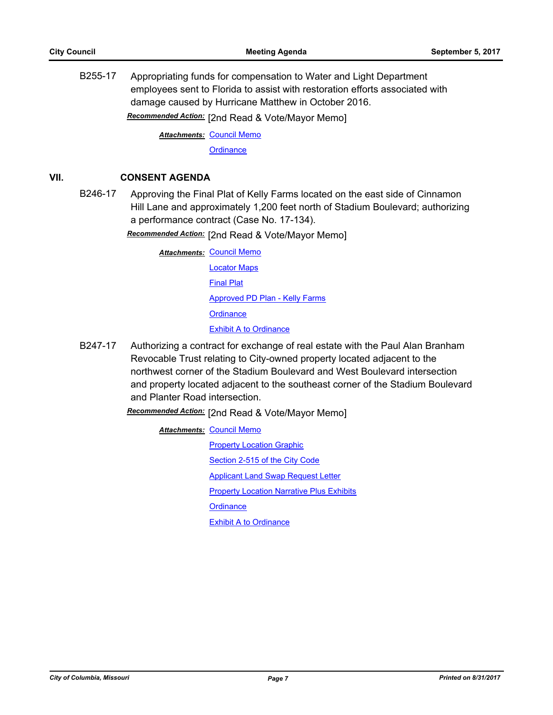B255-17 Appropriating funds for compensation to Water and Light Department employees sent to Florida to assist with restoration efforts associated with damage caused by Hurricane Matthew in October 2016.

Recommended Action: [2nd Read & Vote/Mayor Memo]

**Attachments: [Council Memo](http://gocolumbiamo.legistar.com/gateway.aspx?M=F&ID=4d64d5c9-f332-4726-9bb5-d1dba6249156.docx) [Ordinance](http://gocolumbiamo.legistar.com/gateway.aspx?M=F&ID=7ec89842-45a8-4362-af99-5a6b70e3cf8f.doc)** 

# **VII. CONSENT AGENDA**

B246-17 Approving the Final Plat of Kelly Farms located on the east side of Cinnamon Hill Lane and approximately 1,200 feet north of Stadium Boulevard; authorizing a performance contract (Case No. 17-134).

Recommended Action: [2nd Read & Vote/Mayor Memo]

- **Attachments: [Council Memo](http://gocolumbiamo.legistar.com/gateway.aspx?M=F&ID=4786cb73-40fb-4e30-9337-8425711909fb.docx)** [Locator Maps](http://gocolumbiamo.legistar.com/gateway.aspx?M=F&ID=6f08ae52-0d94-4d3d-ae37-41a7fb11b997.pdf) [Final Plat](http://gocolumbiamo.legistar.com/gateway.aspx?M=F&ID=4fdfdbf1-e8c1-43e0-a4f7-fb600f611f6a.pdf) [Approved PD Plan - Kelly Farms](http://gocolumbiamo.legistar.com/gateway.aspx?M=F&ID=ab1a6d27-0413-44d5-9300-5519f784de48.pdf) **[Ordinance](http://gocolumbiamo.legistar.com/gateway.aspx?M=F&ID=dbb450d7-f29a-4089-8772-b24681351ba4.doc)** [Exhibit A to Ordinance](http://gocolumbiamo.legistar.com/gateway.aspx?M=F&ID=aa4d4b7f-5a16-404b-a397-779535b7d21c.pdf)
- B247-17 Authorizing a contract for exchange of real estate with the Paul Alan Branham Revocable Trust relating to City-owned property located adjacent to the northwest corner of the Stadium Boulevard and West Boulevard intersection and property located adjacent to the southeast corner of the Stadium Boulevard and Planter Road intersection.

[2nd Read & Vote/Mayor Memo] *Recommended Action:*

**Attachments: [Council Memo](http://gocolumbiamo.legistar.com/gateway.aspx?M=F&ID=103100d3-9d92-402d-84f8-2efb66efba55.docx) [Property Location Graphic](http://gocolumbiamo.legistar.com/gateway.aspx?M=F&ID=b57539a7-863a-44b8-99b9-4bb1f7083ae6.pdf)** [Section 2-515 of the City Code](http://gocolumbiamo.legistar.com/gateway.aspx?M=F&ID=1425d8c3-1f39-44eb-b5a6-b3fcbd943753.pdf) **[Applicant Land Swap Request Letter](http://gocolumbiamo.legistar.com/gateway.aspx?M=F&ID=f92dff4e-bdf2-4a99-9dad-c836f24d5422.pdf)** [Property Location Narrative Plus Exhibits](http://gocolumbiamo.legistar.com/gateway.aspx?M=F&ID=dc221c67-63b4-4e0b-ba32-fa1563a1da35.pdf) **[Ordinance](http://gocolumbiamo.legistar.com/gateway.aspx?M=F&ID=40aec273-100e-43c6-a618-ee9d56ef6afd.doc)** [Exhibit A to Ordinance](http://gocolumbiamo.legistar.com/gateway.aspx?M=F&ID=a1cf8ae8-cdf1-497c-861b-2323b97e0abb.pdf)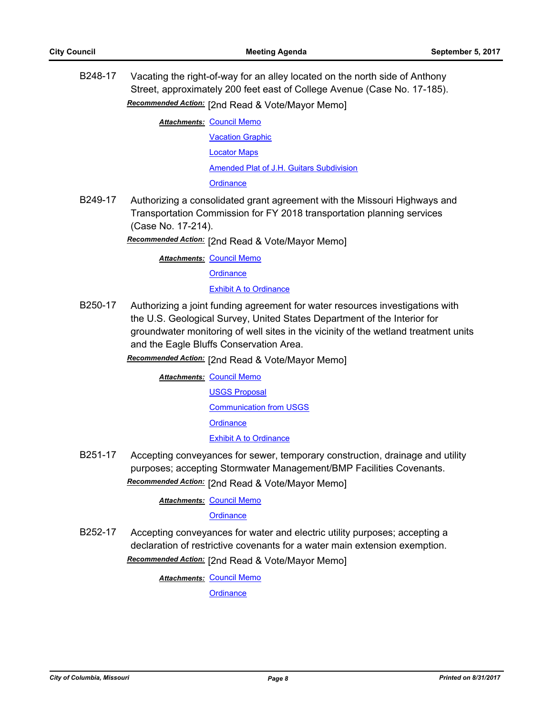B248-17 Vacating the right-of-way for an alley located on the north side of Anthony Street, approximately 200 feet east of College Avenue (Case No. 17-185). Recommended Action: [2nd Read & Vote/Mayor Memo]

**Attachments: [Council Memo](http://gocolumbiamo.legistar.com/gateway.aspx?M=F&ID=9acb900f-cbf9-4ca9-8cc9-ae0c5fd47a5c.docx)** 

[Vacation Graphic](http://gocolumbiamo.legistar.com/gateway.aspx?M=F&ID=30905f69-a789-4c5e-9ba0-1d3ad9927399.pdf) [Locator Maps](http://gocolumbiamo.legistar.com/gateway.aspx?M=F&ID=c898d8a4-c9c2-4e08-ad8b-0118455e877a.pdf) [Amended Plat of J.H. Guitars Subdivision](http://gocolumbiamo.legistar.com/gateway.aspx?M=F&ID=b948e67f-1f2e-499f-9614-272c8af10ae8.pdf) **[Ordinance](http://gocolumbiamo.legistar.com/gateway.aspx?M=F&ID=5f06cb4b-e4c0-4f7b-95b9-7a0fe6e6211c.doc)** 

B249-17 Authorizing a consolidated grant agreement with the Missouri Highways and Transportation Commission for FY 2018 transportation planning services (Case No. 17-214).

[2nd Read & Vote/Mayor Memo] *Recommended Action:*

**Attachments: [Council Memo](http://gocolumbiamo.legistar.com/gateway.aspx?M=F&ID=875ec2b7-2712-49b5-9865-e96bb7b73035.docx)** 

**[Ordinance](http://gocolumbiamo.legistar.com/gateway.aspx?M=F&ID=9376bcc1-41f5-4b1d-aaad-8c1126dc3b51.doc)** 

#### [Exhibit A to Ordinance](http://gocolumbiamo.legistar.com/gateway.aspx?M=F&ID=e75b0d13-2f82-4c44-bf73-f801e3c77893.pdf)

B250-17 Authorizing a joint funding agreement for water resources investigations with the U.S. Geological Survey, United States Department of the Interior for groundwater monitoring of well sites in the vicinity of the wetland treatment units and the Eagle Bluffs Conservation Area.

Recommended Action: [2nd Read & Vote/Mayor Memo]

**Attachments: [Council Memo](http://gocolumbiamo.legistar.com/gateway.aspx?M=F&ID=efb799b1-7da1-4660-bf33-55c02a933d5e.docx)** [USGS Proposal](http://gocolumbiamo.legistar.com/gateway.aspx?M=F&ID=920e75b1-c04f-4ba3-9127-b20cc05e0ee9.pdf) [Communication from USGS](http://gocolumbiamo.legistar.com/gateway.aspx?M=F&ID=b443d934-7d5a-411e-bbda-0cfa9475af87.pdf) **[Ordinance](http://gocolumbiamo.legistar.com/gateway.aspx?M=F&ID=8cdca804-93c7-4fd2-b901-82c17af2df89.doc)** [Exhibit A to Ordinance](http://gocolumbiamo.legistar.com/gateway.aspx?M=F&ID=4d02a861-66e7-4793-9633-20ccd8af9d68.pdf)

B251-17 Accepting conveyances for sewer, temporary construction, drainage and utility purposes; accepting Stormwater Management/BMP Facilities Covenants. Recommended Action: [2nd Read & Vote/Mayor Memo]

**Attachments: [Council Memo](http://gocolumbiamo.legistar.com/gateway.aspx?M=F&ID=6d79305a-1ddf-4823-a74e-a044392645fd.docx)** 

**[Ordinance](http://gocolumbiamo.legistar.com/gateway.aspx?M=F&ID=71d49163-37ad-4968-834b-98aa67c8c8e7.doc)** 

B252-17 Accepting conveyances for water and electric utility purposes; accepting a declaration of restrictive covenants for a water main extension exemption. Recommended Action: [2nd Read & Vote/Mayor Memo]

**Attachments: [Council Memo](http://gocolumbiamo.legistar.com/gateway.aspx?M=F&ID=ff85a15c-950a-42da-8127-0d24de8444a6.docx)**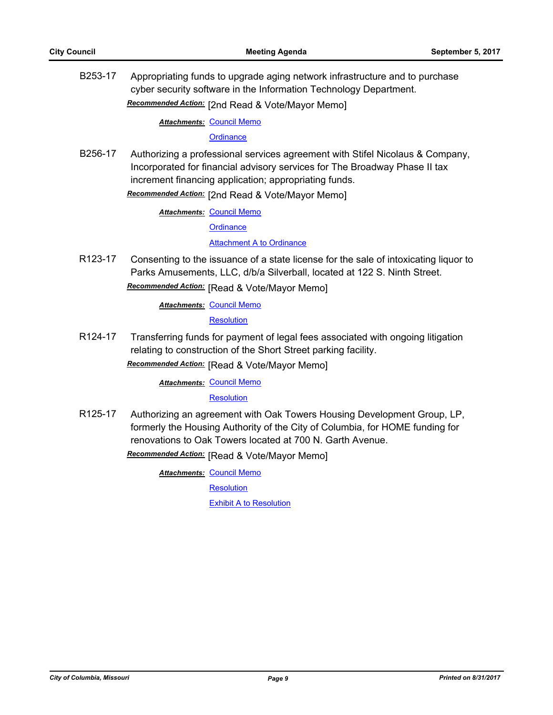B253-17 Appropriating funds to upgrade aging network infrastructure and to purchase cyber security software in the Information Technology Department. Recommended Action: [2nd Read & Vote/Mayor Memo]

**Attachments: [Council Memo](http://gocolumbiamo.legistar.com/gateway.aspx?M=F&ID=4cb3dcd6-77be-41c9-82c6-59c5b86df40c.docx)** 

#### **[Ordinance](http://gocolumbiamo.legistar.com/gateway.aspx?M=F&ID=cabed9f9-6ba6-4e5e-8392-fa7a2ff7f6de.doc)**

B256-17 Authorizing a professional services agreement with Stifel Nicolaus & Company, Incorporated for financial advisory services for The Broadway Phase II tax increment financing application; appropriating funds.

**Recommended Action:** [2nd Read & Vote/Mayor Memo]

**Attachments: [Council Memo](http://gocolumbiamo.legistar.com/gateway.aspx?M=F&ID=cd8c630f-edc5-4b27-967d-1842ae4fa918.docx)** 

**[Ordinance](http://gocolumbiamo.legistar.com/gateway.aspx?M=F&ID=1d55f293-8480-4419-aa32-10c9063dc1fb.doc)** 

#### [Attachment A to Ordinance](http://gocolumbiamo.legistar.com/gateway.aspx?M=F&ID=68a9f137-5e37-40b1-bfb2-4f47cadc1a6b.pdf)

R123-17 Consenting to the issuance of a state license for the sale of intoxicating liquor to Parks Amusements, LLC, d/b/a Silverball, located at 122 S. Ninth Street. **Recommended Action:** [Read & Vote/Mayor Memo]

**Attachments: [Council Memo](http://gocolumbiamo.legistar.com/gateway.aspx?M=F&ID=4d0da397-6b24-4a1c-8552-2ba4d0777a0b.docx)** 

**[Resolution](http://gocolumbiamo.legistar.com/gateway.aspx?M=F&ID=1648b3b0-320d-4b03-acaf-0fbdbad0e363.doc)** 

R124-17 Transferring funds for payment of legal fees associated with ongoing litigation relating to construction of the Short Street parking facility.

**Recommended Action:** [Read & Vote/Mayor Memo]

**Attachments: [Council Memo](http://gocolumbiamo.legistar.com/gateway.aspx?M=F&ID=c84730bf-1388-4557-ab81-4847cf90c397.docx)** 

**[Resolution](http://gocolumbiamo.legistar.com/gateway.aspx?M=F&ID=2006ba9d-b191-45c3-92bb-3ff031b4d414.doc)** 

R125-17 Authorizing an agreement with Oak Towers Housing Development Group, LP, formerly the Housing Authority of the City of Columbia, for HOME funding for renovations to Oak Towers located at 700 N. Garth Avenue.

**Recommended Action:** [Read & Vote/Mayor Memo]

**Attachments: [Council Memo](http://gocolumbiamo.legistar.com/gateway.aspx?M=F&ID=afba174c-4241-4a50-b290-bc39a9e670a9.docx)** 

**[Resolution](http://gocolumbiamo.legistar.com/gateway.aspx?M=F&ID=bb4c9ade-9b8c-45e1-a938-ecbc0a800c6c.doc)** 

[Exhibit A to Resolution](http://gocolumbiamo.legistar.com/gateway.aspx?M=F&ID=e89e4e62-b5ec-49fc-b235-677c147c36fa.docx)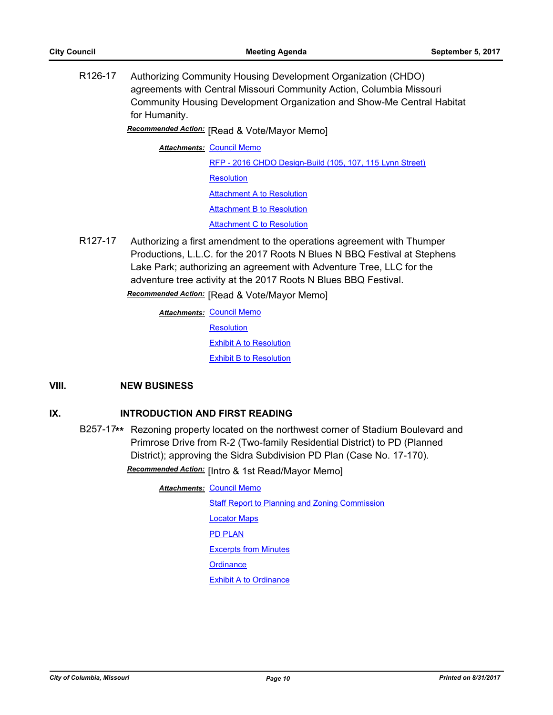R126-17 Authorizing Community Housing Development Organization (CHDO) agreements with Central Missouri Community Action, Columbia Missouri Community Housing Development Organization and Show-Me Central Habitat for Humanity.

**Recommended Action:** [Read & Vote/Mayor Memo]

**Attachments: [Council Memo](http://gocolumbiamo.legistar.com/gateway.aspx?M=F&ID=8ef6f93e-6756-43ca-a2b3-8dbeaa3ca9a9.docx)** 

[RFP - 2016 CHDO Design-Build \(105, 107, 115 Lynn Street\)](http://gocolumbiamo.legistar.com/gateway.aspx?M=F&ID=03c95599-e127-40cd-8cfe-d8db43185b07.pdf) **[Resolution](http://gocolumbiamo.legistar.com/gateway.aspx?M=F&ID=02479024-e4d0-49f7-8c5c-535edfef92dd.doc)** [Attachment A to Resolution](http://gocolumbiamo.legistar.com/gateway.aspx?M=F&ID=8ec78f08-04e6-4672-a865-58cfa9e72a32.pdf) **[Attachment B to Resolution](http://gocolumbiamo.legistar.com/gateway.aspx?M=F&ID=fd792181-d173-4b2a-870a-8934aafd4e46.pdf)** [Attachment C to Resolution](http://gocolumbiamo.legistar.com/gateway.aspx?M=F&ID=f8924006-7424-460a-9512-800040fc695b.pdf)

R127-17 Authorizing a first amendment to the operations agreement with Thumper Productions, L.L.C. for the 2017 Roots N Blues N BBQ Festival at Stephens Lake Park; authorizing an agreement with Adventure Tree, LLC for the adventure tree activity at the 2017 Roots N Blues BBQ Festival.

**Recommended Action:** [Read & Vote/Mayor Memo]

<u>Attachments: [Council Memo](http://gocolumbiamo.legistar.com/gateway.aspx?M=F&ID=bdb4234d-0da2-4520-84dd-fc19bfefe5bb.docx)</u> **[Resolution](http://gocolumbiamo.legistar.com/gateway.aspx?M=F&ID=2b6373c3-4ae4-4897-9432-c0d38d419256.doc)** [Exhibit A to Resolution](http://gocolumbiamo.legistar.com/gateway.aspx?M=F&ID=c2ef042d-4a5d-4f24-9a33-d115dd0ded94.docx) [Exhibit B to Resolution](http://gocolumbiamo.legistar.com/gateway.aspx?M=F&ID=808367e3-e7ef-4083-898c-9ee1ad9819ab.docx)

# **VIII. NEW BUSINESS**

# **IX. INTRODUCTION AND FIRST READING**

B257-17**\*\*** Rezoning property located on the northwest corner of Stadium Boulevard and Primrose Drive from R-2 (Two-family Residential District) to PD (Planned District); approving the Sidra Subdivision PD Plan (Case No. 17-170). Recommended Action: [Intro & 1st Read/Mayor Memo]

**Attachments: [Council Memo](http://gocolumbiamo.legistar.com/gateway.aspx?M=F&ID=9c6dad6d-1e51-4d43-b73d-5c96a3554292.docx)** 

[Staff Report to Planning and Zoning Commission](http://gocolumbiamo.legistar.com/gateway.aspx?M=F&ID=9d5e6795-cc1f-4660-ba19-fc0985b39984.docx) [Locator Maps](http://gocolumbiamo.legistar.com/gateway.aspx?M=F&ID=bd729293-1b9f-4b36-9507-e4e44f7fa5fe.pdf) [PD PLAN](http://gocolumbiamo.legistar.com/gateway.aspx?M=F&ID=5eb0c8b2-0540-4d68-bf81-5c8de3d25c22.pdf) [Excerpts from Minutes](http://gocolumbiamo.legistar.com/gateway.aspx?M=F&ID=7d5338a0-cef9-46af-9e04-5d31d9d69ddb.docx) **[Ordinance](http://gocolumbiamo.legistar.com/gateway.aspx?M=F&ID=03ec84d5-1160-446a-b723-8dee59df2894.doc)** [Exhibit A to Ordinance](http://gocolumbiamo.legistar.com/gateway.aspx?M=F&ID=c52dd4cb-bd23-49e3-8a8a-4cf4bd296abc.pdf)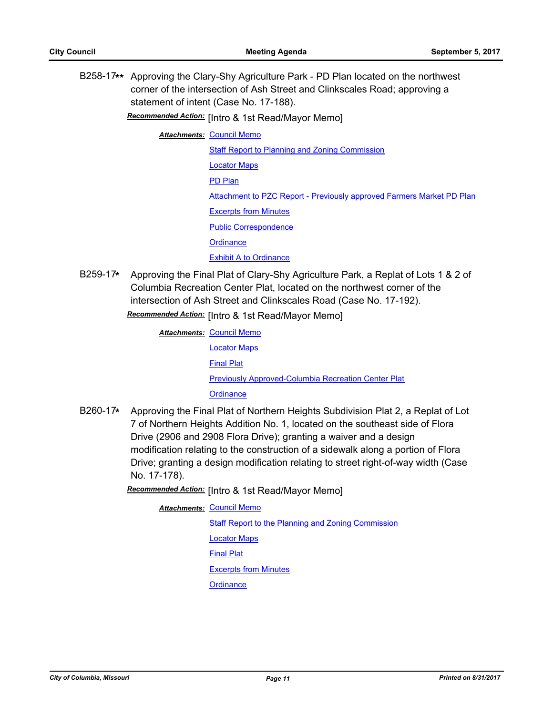B258-17**\*\*** Approving the Clary-Shy Agriculture Park - PD Plan located on the northwest corner of the intersection of Ash Street and Clinkscales Road; approving a statement of intent (Case No. 17-188).

**Recommended Action:** [Intro & 1st Read/Mayor Memo]

**Attachments: [Council Memo](http://gocolumbiamo.legistar.com/gateway.aspx?M=F&ID=2825f960-f605-4ecf-b52a-e6ea6ac39f63.docx)** 

[Staff Report to Planning and Zoning Commission](http://gocolumbiamo.legistar.com/gateway.aspx?M=F&ID=9a6096b5-a56f-4650-8f1d-11833ae7369c.pdf) [Locator Maps](http://gocolumbiamo.legistar.com/gateway.aspx?M=F&ID=4a2f7bdc-c560-4ed7-966e-ad4019d05e50.pdf) [PD Plan](http://gocolumbiamo.legistar.com/gateway.aspx?M=F&ID=ecdaf788-6592-474f-8b32-68b79b290f8d.pdf) [Attachment to PZC Report - Previously approved Farmers Market PD Plan](http://gocolumbiamo.legistar.com/gateway.aspx?M=F&ID=9e27f3fe-cb16-4cdd-a1b5-49d39e9b1b07.pdf) [Excerpts from Minutes](http://gocolumbiamo.legistar.com/gateway.aspx?M=F&ID=a5f60bed-d23e-43c7-a81c-5ecee28c2c9f.docx) [Public Correspondence](http://gocolumbiamo.legistar.com/gateway.aspx?M=F&ID=c5aa60fd-156a-4b86-b9be-ed1fd7c6306b.pdf) **[Ordinance](http://gocolumbiamo.legistar.com/gateway.aspx?M=F&ID=134cc68a-c9c4-424e-9adf-260217c9111c.doc)** [Exhibit A to Ordinance](http://gocolumbiamo.legistar.com/gateway.aspx?M=F&ID=86373d37-d512-490c-b01f-915d34b80b34.pdf)

B259-17**\*** Approving the Final Plat of Clary-Shy Agriculture Park, a Replat of Lots 1 & 2 of Columbia Recreation Center Plat, located on the northwest corner of the intersection of Ash Street and Clinkscales Road (Case No. 17-192). Recommended Action: [Intro & 1st Read/Mayor Memo]

> **Attachments: [Council Memo](http://gocolumbiamo.legistar.com/gateway.aspx?M=F&ID=a2053c80-1bec-488c-858a-20bfa45dd1e2.docx)** [Locator Maps](http://gocolumbiamo.legistar.com/gateway.aspx?M=F&ID=f89a8e9f-9507-484f-a168-d59242881acf.pdf) [Final Plat](http://gocolumbiamo.legistar.com/gateway.aspx?M=F&ID=3fd8a3ae-d9e1-412c-8478-fe6443dc0011.pdf) [Previously Approved-Columbia Recreation Center Plat](http://gocolumbiamo.legistar.com/gateway.aspx?M=F&ID=7abe0c6e-51be-4e7d-b95d-38903b1859b9.pdf) **[Ordinance](http://gocolumbiamo.legistar.com/gateway.aspx?M=F&ID=36770742-3ef5-4f08-8951-78747d4c012d.doc)**

B260-17**\*** Approving the Final Plat of Northern Heights Subdivision Plat 2, a Replat of Lot 7 of Northern Heights Addition No. 1, located on the southeast side of Flora Drive (2906 and 2908 Flora Drive); granting a waiver and a design modification relating to the construction of a sidewalk along a portion of Flora Drive; granting a design modification relating to street right-of-way width (Case No. 17-178).

**Recommended Action:** [Intro & 1st Read/Mayor Memo]

**Attachments: [Council Memo](http://gocolumbiamo.legistar.com/gateway.aspx?M=F&ID=fc6ee3f8-0240-408c-ba5c-ecfd5746719e.docx) [Staff Report to the Planning and Zoning Commission](http://gocolumbiamo.legistar.com/gateway.aspx?M=F&ID=265d946a-6332-4a24-9d2c-77cf141e639c.docx)** [Locator Maps](http://gocolumbiamo.legistar.com/gateway.aspx?M=F&ID=2597db9f-5c7c-41c7-a81d-64f84e36584c.pdf) [Final Plat](http://gocolumbiamo.legistar.com/gateway.aspx?M=F&ID=54051021-affe-4cfd-a2d5-5d2c1785bf6b.pdf) [Excerpts from Minutes](http://gocolumbiamo.legistar.com/gateway.aspx?M=F&ID=34572f88-0015-41b2-834f-28064cb75235.docx) **[Ordinance](http://gocolumbiamo.legistar.com/gateway.aspx?M=F&ID=04ab1570-e086-44b5-9211-0a6de3c20345.doc)**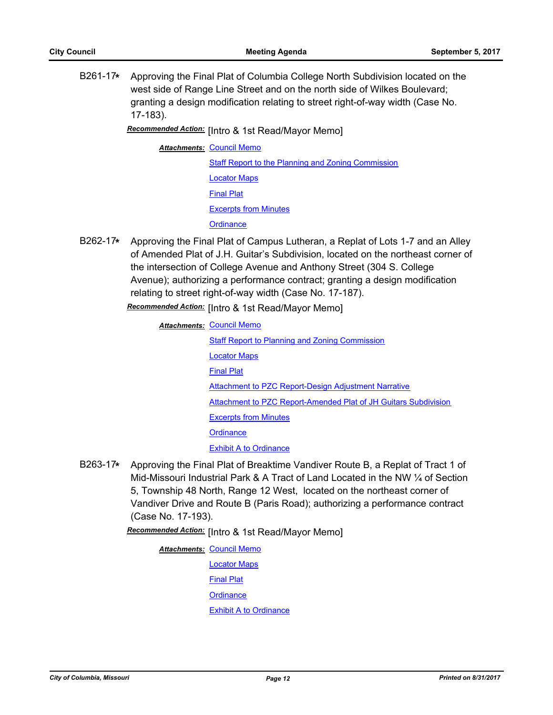B261-17**\*** Approving the Final Plat of Columbia College North Subdivision located on the west side of Range Line Street and on the north side of Wilkes Boulevard; granting a design modification relating to street right-of-way width (Case No. 17-183).

Recommended Action: [Intro & 1st Read/Mayor Memo]

**Attachments: [Council Memo](http://gocolumbiamo.legistar.com/gateway.aspx?M=F&ID=6c7acca9-1284-4307-b785-222c747274dd.docx)** 

**[Staff Report to the Planning and Zoning Commission](http://gocolumbiamo.legistar.com/gateway.aspx?M=F&ID=c0d70358-2741-4e42-961d-51c0b4c7fe47.docx)** [Locator Maps](http://gocolumbiamo.legistar.com/gateway.aspx?M=F&ID=5f396143-4bff-4eaf-8de8-ba6d4b23aff0.pdf) [Final Plat](http://gocolumbiamo.legistar.com/gateway.aspx?M=F&ID=03d328ce-419d-4480-aa69-e75492bf4931.pdf) [Excerpts from Minutes](http://gocolumbiamo.legistar.com/gateway.aspx?M=F&ID=9ce8fa8f-22a2-4353-b56c-26e0ed1dc23e.docx) **[Ordinance](http://gocolumbiamo.legistar.com/gateway.aspx?M=F&ID=ba7c587b-859b-4936-b37d-aead787dcd35.doc)** 

B262-17**\*** Approving the Final Plat of Campus Lutheran, a Replat of Lots 1-7 and an Alley of Amended Plat of J.H. Guitar's Subdivision, located on the northeast corner of the intersection of College Avenue and Anthony Street (304 S. College Avenue); authorizing a performance contract; granting a design modification relating to street right-of-way width (Case No. 17-187).

**Recommended Action:** [Intro & 1st Read/Mayor Memo]

<u>Attachments: [Council Memo](http://gocolumbiamo.legistar.com/gateway.aspx?M=F&ID=2cb1ba01-026d-46fe-9227-2dc81edfc3ea.docx)</u>

- [Staff Report to Planning and Zoning Commission](http://gocolumbiamo.legistar.com/gateway.aspx?M=F&ID=c818f3ad-4522-463e-8020-c92a30a47322.pdf) [Locator Maps](http://gocolumbiamo.legistar.com/gateway.aspx?M=F&ID=4fc7d2ba-89c4-459b-b293-3f60ea08b270.pdf) [Final Plat](http://gocolumbiamo.legistar.com/gateway.aspx?M=F&ID=b5efd067-b2b8-4f26-8fae-370975f945a0.pdf) [Attachment to PZC Report-Design Adjustment Narrative](http://gocolumbiamo.legistar.com/gateway.aspx?M=F&ID=4f2ed93f-a172-4280-bd11-699f8e48b76a.pdf) [Attachment to PZC Report-Amended Plat of JH Guitars Subdivision](http://gocolumbiamo.legistar.com/gateway.aspx?M=F&ID=62d719f2-de24-41e7-8c49-5779549f5282.pdf) [Excerpts from Minutes](http://gocolumbiamo.legistar.com/gateway.aspx?M=F&ID=fee2e5aa-f8ca-4a45-a083-cf451f401d79.docx) **[Ordinance](http://gocolumbiamo.legistar.com/gateway.aspx?M=F&ID=ba537010-f1af-4613-bec7-da5fc94b672b.doc)** [Exhibit A to Ordinance](http://gocolumbiamo.legistar.com/gateway.aspx?M=F&ID=79a88b7e-4427-49b5-9c38-e690f91df626.pdf)
- B263-17**\*** Approving the Final Plat of Breaktime Vandiver Route B, a Replat of Tract 1 of Mid-Missouri Industrial Park & A Tract of Land Located in the NW ¼ of Section 5, Township 48 North, Range 12 West, located on the northeast corner of Vandiver Drive and Route B (Paris Road); authorizing a performance contract (Case No. 17-193).

Recommended Action: [Intro & 1st Read/Mayor Memo]

**Attachments: [Council Memo](http://gocolumbiamo.legistar.com/gateway.aspx?M=F&ID=1fe4d611-7afb-42a4-90fd-93205fdad4bd.docx)** [Locator Maps](http://gocolumbiamo.legistar.com/gateway.aspx?M=F&ID=d40fb5ef-a678-4490-8c98-14ade4aea10f.pdf) [Final Plat](http://gocolumbiamo.legistar.com/gateway.aspx?M=F&ID=32b5b767-6283-41aa-8dc8-9bfea460e1e8.pdf) **[Ordinance](http://gocolumbiamo.legistar.com/gateway.aspx?M=F&ID=8bb5c89e-2ad0-4b11-8875-b0c9569b5b54.doc)** [Exhibit A to Ordinance](http://gocolumbiamo.legistar.com/gateway.aspx?M=F&ID=508f05f4-3438-458c-9747-8f169e32f140.pdf)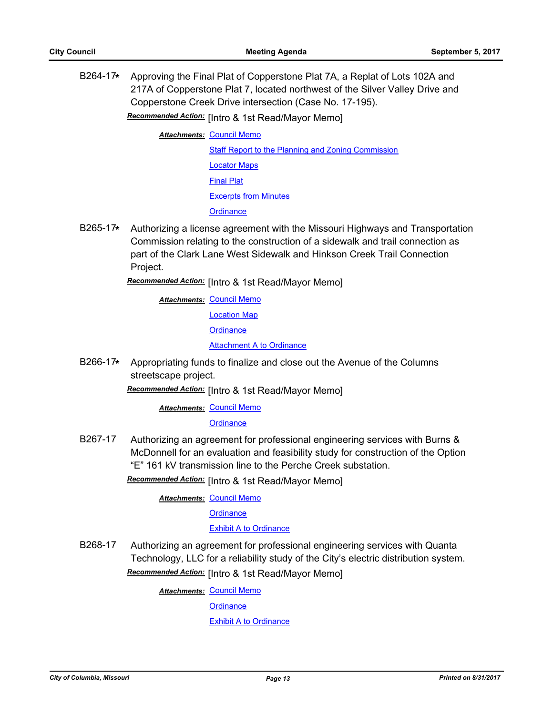B264-17**\*** Approving the Final Plat of Copperstone Plat 7A, a Replat of Lots 102A and 217A of Copperstone Plat 7, located northwest of the Silver Valley Drive and Copperstone Creek Drive intersection (Case No. 17-195).

**Recommended Action:** [Intro & 1st Read/Mayor Memo]

**Attachments: [Council Memo](http://gocolumbiamo.legistar.com/gateway.aspx?M=F&ID=26517a39-19fd-4e69-9e94-3274ee166026.docx)** 

[Staff Report to the Planning and Zoning Commission](http://gocolumbiamo.legistar.com/gateway.aspx?M=F&ID=1208b589-d1b4-439c-bf6f-2041111d28d9.docx) [Locator Maps](http://gocolumbiamo.legistar.com/gateway.aspx?M=F&ID=fcba9b42-04cb-4745-9bec-98170292a1eb.pdf) [Final Plat](http://gocolumbiamo.legistar.com/gateway.aspx?M=F&ID=1793d626-5066-4f02-918a-72a4a13443f7.pdf) [Excerpts from Minutes](http://gocolumbiamo.legistar.com/gateway.aspx?M=F&ID=b05aac6d-ee5f-4dc5-afec-23725fc87275.docx) **[Ordinance](http://gocolumbiamo.legistar.com/gateway.aspx?M=F&ID=000edf8e-d883-4948-a0f6-9bd3940352e3.doc)** 

B265-17**\*** Authorizing a license agreement with the Missouri Highways and Transportation Commission relating to the construction of a sidewalk and trail connection as part of the Clark Lane West Sidewalk and Hinkson Creek Trail Connection Project.

**Recommended Action:** [Intro & 1st Read/Mayor Memo]

<u>Attachments: [Council Memo](http://gocolumbiamo.legistar.com/gateway.aspx?M=F&ID=eea11e41-3801-4c8e-b155-6991012a31f2.docx)</u>

[Location Map](http://gocolumbiamo.legistar.com/gateway.aspx?M=F&ID=ff6d95da-4a84-4f79-81a9-cc8dd5d440a5.pdf)

**[Ordinance](http://gocolumbiamo.legistar.com/gateway.aspx?M=F&ID=ccd8c255-505f-471e-af74-cb36385ccab8.doc)** 

**[Attachment A to Ordinance](http://gocolumbiamo.legistar.com/gateway.aspx?M=F&ID=165cf445-1da0-42ad-8446-64a8d0719ce7.pdf)** 

B266-17**\*** Appropriating funds to finalize and close out the Avenue of the Columns streetscape project.

**Recommended Action:** [Intro & 1st Read/Mayor Memo]

**Attachments: [Council Memo](http://gocolumbiamo.legistar.com/gateway.aspx?M=F&ID=0d378958-0c15-48f1-b51c-635e42ef9eed.docx)** 

**[Ordinance](http://gocolumbiamo.legistar.com/gateway.aspx?M=F&ID=5658ce45-b7f0-47ee-9453-4e511bbe39d8.doc)** 

B267-17 Authorizing an agreement for professional engineering services with Burns & McDonnell for an evaluation and feasibility study for construction of the Option "E" 161 kV transmission line to the Perche Creek substation.

Recommended Action: [Intro & 1st Read/Mayor Memo]

**Attachments: [Council Memo](http://gocolumbiamo.legistar.com/gateway.aspx?M=F&ID=e28cad7c-b865-4abd-9207-b8685353162e.docx)** 

**[Ordinance](http://gocolumbiamo.legistar.com/gateway.aspx?M=F&ID=2eb93f07-07be-43ac-be42-6fe6d4475cf2.doc)** 

#### [Exhibit A to Ordinance](http://gocolumbiamo.legistar.com/gateway.aspx?M=F&ID=d7075ba4-3780-4396-aa06-3d242b8aca9f.pdf)

B268-17 Authorizing an agreement for professional engineering services with Quanta Technology, LLC for a reliability study of the City's electric distribution system. **Recommended Action:** [Intro & 1st Read/Mayor Memo]

**Attachments: [Council Memo](http://gocolumbiamo.legistar.com/gateway.aspx?M=F&ID=016476e9-640f-49ea-b651-bc66cbf77fda.docx)** 

**[Ordinance](http://gocolumbiamo.legistar.com/gateway.aspx?M=F&ID=97252539-2df9-4ff8-b61d-b85b7ba219ec.doc)** 

**[Exhibit A to Ordinance](http://gocolumbiamo.legistar.com/gateway.aspx?M=F&ID=ec9a698f-ebd5-4cef-ad4e-6237ea9f2862.pdf)**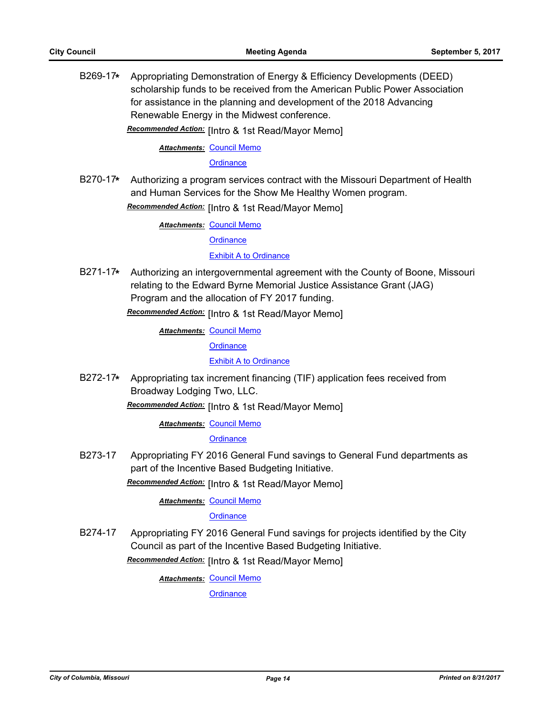B269-17**\*** Appropriating Demonstration of Energy & Efficiency Developments (DEED) scholarship funds to be received from the American Public Power Association for assistance in the planning and development of the 2018 Advancing Renewable Energy in the Midwest conference.

Recommended Action: [Intro & 1st Read/Mayor Memo]

#### **Attachments: [Council Memo](http://gocolumbiamo.legistar.com/gateway.aspx?M=F&ID=3fc441e0-3ba9-4213-9fbd-753c7cffea45.docx)**

#### **[Ordinance](http://gocolumbiamo.legistar.com/gateway.aspx?M=F&ID=723f80f5-d8fd-402b-ab95-69de127f24fc.doc)**

B270-17**\*** Authorizing a program services contract with the Missouri Department of Health and Human Services for the Show Me Healthy Women program.

**Recommended Action:** [Intro & 1st Read/Mayor Memo]

**Attachments: [Council Memo](http://gocolumbiamo.legistar.com/gateway.aspx?M=F&ID=527bb2a1-0eb6-4c54-b689-1b4b9d7093a4.docx)** 

**[Ordinance](http://gocolumbiamo.legistar.com/gateway.aspx?M=F&ID=f0020f31-2bf1-472e-9e22-6d31945a6ece.doc)** 

# [Exhibit A to Ordinance](http://gocolumbiamo.legistar.com/gateway.aspx?M=F&ID=c8664c28-c269-4563-babe-34853063c304.pdf)

B271-17**\*** Authorizing an intergovernmental agreement with the County of Boone, Missouri relating to the Edward Byrne Memorial Justice Assistance Grant (JAG) Program and the allocation of FY 2017 funding. **Recommended Action:** [Intro & 1st Read/Mayor Memo]

**Attachments: [Council Memo](http://gocolumbiamo.legistar.com/gateway.aspx?M=F&ID=9387588e-8ec4-4bcf-9802-ee65768a0823.docx)** 

**[Ordinance](http://gocolumbiamo.legistar.com/gateway.aspx?M=F&ID=a8dfccdd-5339-4128-91d6-fbedbb504b58.doc)** 

[Exhibit A to Ordinance](http://gocolumbiamo.legistar.com/gateway.aspx?M=F&ID=ce4ae1e4-fa16-4b4f-9472-92d8e478f361.pdf)

B272-17**\*** Appropriating tax increment financing (TIF) application fees received from Broadway Lodging Two, LLC.

Recommended Action: [Intro & 1st Read/Mayor Memo]

**Attachments: [Council Memo](http://gocolumbiamo.legistar.com/gateway.aspx?M=F&ID=3fdd0b58-8aab-4ab2-87cf-f6f137a3ec20.docx)** 

**[Ordinance](http://gocolumbiamo.legistar.com/gateway.aspx?M=F&ID=2fa8dfa3-b8f4-4a16-93a9-5a46b7fff329.doc)** 

B273-17 Appropriating FY 2016 General Fund savings to General Fund departments as part of the Incentive Based Budgeting Initiative.

Recommended Action: [Intro & 1st Read/Mayor Memo]

<u>Attachments: [Council Memo](http://gocolumbiamo.legistar.com/gateway.aspx?M=F&ID=37848713-3903-47dd-9614-ab53a47a3d56.docx)</u>

**[Ordinance](http://gocolumbiamo.legistar.com/gateway.aspx?M=F&ID=f344249b-63d5-45cb-9661-0dc43192fe48.doc)** 

B274-17 Appropriating FY 2016 General Fund savings for projects identified by the City Council as part of the Incentive Based Budgeting Initiative.

**Recommended Action:** [Intro & 1st Read/Mayor Memo]

**Attachments: [Council Memo](http://gocolumbiamo.legistar.com/gateway.aspx?M=F&ID=0a2400d3-7068-42bb-8be0-3dc1d7a05559.docx)**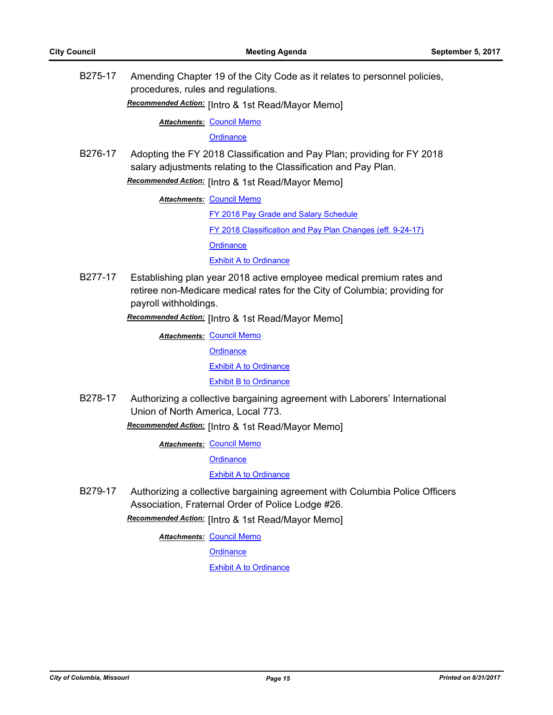B275-17 Amending Chapter 19 of the City Code as it relates to personnel policies, procedures, rules and regulations.

**Recommended Action:** [Intro & 1st Read/Mayor Memo]

**Attachments: [Council Memo](http://gocolumbiamo.legistar.com/gateway.aspx?M=F&ID=1855d1fc-9ec3-4e99-8fad-503b72bc568d.docx)** 

**[Ordinance](http://gocolumbiamo.legistar.com/gateway.aspx?M=F&ID=a7bf37f7-ea6f-4790-a91c-d8a6bf75c7aa.doc)** 

B276-17 Adopting the FY 2018 Classification and Pay Plan; providing for FY 2018 salary adjustments relating to the Classification and Pay Plan. **Recommended Action:** [Intro & 1st Read/Mayor Memo]

**Attachments: [Council Memo](http://gocolumbiamo.legistar.com/gateway.aspx?M=F&ID=a516605b-8286-4db6-8258-8bbc6b4af97c.docx)** 

[FY 2018 Pay Grade and Salary Schedule](http://gocolumbiamo.legistar.com/gateway.aspx?M=F&ID=1d109f91-8c0e-496e-949b-4b89d13609ce.pdf) [FY 2018 Classification and Pay Plan Changes \(eff. 9-24-17\)](http://gocolumbiamo.legistar.com/gateway.aspx?M=F&ID=7eb6c2da-4039-43f2-8908-02cbac6dd10a.doc) **[Ordinance](http://gocolumbiamo.legistar.com/gateway.aspx?M=F&ID=2d62a554-1d25-4a2c-b7c0-a277bfd4894b.doc)** [Exhibit A to Ordinance](http://gocolumbiamo.legistar.com/gateway.aspx?M=F&ID=268f6060-e67e-4b8a-a135-d8c162c1ddca.pdf)

B277-17 Establishing plan year 2018 active employee medical premium rates and retiree non-Medicare medical rates for the City of Columbia; providing for payroll withholdings.

Recommended Action: [Intro & 1st Read/Mayor Memo]

**Attachments: [Council Memo](http://gocolumbiamo.legistar.com/gateway.aspx?M=F&ID=acc302e0-f0ca-408e-b806-3ff15ceb0ce2.docx) [Ordinance](http://gocolumbiamo.legistar.com/gateway.aspx?M=F&ID=d517914b-bca6-49e0-bf68-b42fab3a909f.doc)** [Exhibit A to Ordinance](http://gocolumbiamo.legistar.com/gateway.aspx?M=F&ID=5a02ea1b-be14-4bf1-bc00-7265e00d90a4.pdf) [Exhibit B to Ordinance](http://gocolumbiamo.legistar.com/gateway.aspx?M=F&ID=68231152-312a-45f7-9902-148ed032f006.pdf)

B278-17 Authorizing a collective bargaining agreement with Laborers' International Union of North America, Local 773.

Recommended Action: [Intro & 1st Read/Mayor Memo]

**Attachments: [Council Memo](http://gocolumbiamo.legistar.com/gateway.aspx?M=F&ID=2bf906b5-1aaf-4b95-b1e2-2e316774309e.docx)** 

**[Ordinance](http://gocolumbiamo.legistar.com/gateway.aspx?M=F&ID=2251d6d8-2d3d-4cd1-82da-dd9728fe8068.doc)** 

[Exhibit A to Ordinance](http://gocolumbiamo.legistar.com/gateway.aspx?M=F&ID=c341bfc6-f0ff-415d-b478-ee3222e5bf22.pdf)

B279-17 Authorizing a collective bargaining agreement with Columbia Police Officers Association, Fraternal Order of Police Lodge #26.

Recommended Action: [Intro & 1st Read/Mayor Memo]

**Attachments: [Council Memo](http://gocolumbiamo.legistar.com/gateway.aspx?M=F&ID=cdf4b85c-f73c-4129-af09-1457fc1947d3.docx)** 

**[Ordinance](http://gocolumbiamo.legistar.com/gateway.aspx?M=F&ID=ff26a894-12ff-4a2d-a963-7a792966a6d2.doc)** 

[Exhibit A to Ordinance](http://gocolumbiamo.legistar.com/gateway.aspx?M=F&ID=1306c27e-84aa-425f-ad7a-e0b03eb07c20.pdf)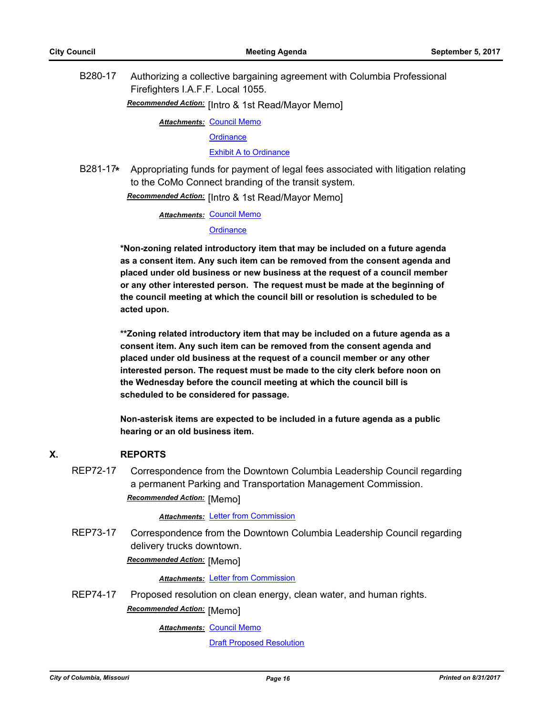B280-17 Authorizing a collective bargaining agreement with Columbia Professional Firefighters I.A.F.F. Local 1055.

Recommended Action: [Intro & 1st Read/Mayor Memo]

**Attachments: [Council Memo](http://gocolumbiamo.legistar.com/gateway.aspx?M=F&ID=db928b6b-1596-4cc3-81a6-9a0b096269fc.docx)** 

**[Ordinance](http://gocolumbiamo.legistar.com/gateway.aspx?M=F&ID=503a12c9-d38f-4839-946b-337b4a18a388.doc)** 

[Exhibit A to Ordinance](http://gocolumbiamo.legistar.com/gateway.aspx?M=F&ID=661dd84b-fa4b-45a9-a1ff-1b6940fbe650.pdf)

B281-17**\*** Appropriating funds for payment of legal fees associated with litigation relating to the CoMo Connect branding of the transit system.

Recommended Action: [Intro & 1st Read/Mayor Memo]

**Attachments: [Council Memo](http://gocolumbiamo.legistar.com/gateway.aspx?M=F&ID=f3fa532f-668c-4d55-af89-246972027741.docx)** 

**[Ordinance](http://gocolumbiamo.legistar.com/gateway.aspx?M=F&ID=21f30df0-5973-4484-a7bb-ba40e0471024.doc)** 

**\*Non-zoning related introductory item that may be included on a future agenda as a consent item. Any such item can be removed from the consent agenda and placed under old business or new business at the request of a council member or any other interested person. The request must be made at the beginning of the council meeting at which the council bill or resolution is scheduled to be acted upon.** 

**\*\*Zoning related introductory item that may be included on a future agenda as a consent item. Any such item can be removed from the consent agenda and placed under old business at the request of a council member or any other interested person. The request must be made to the city clerk before noon on the Wednesday before the council meeting at which the council bill is scheduled to be considered for passage.**

**Non-asterisk items are expected to be included in a future agenda as a public hearing or an old business item.**

# **X. REPORTS**

REP72-17 Correspondence from the Downtown Columbia Leadership Council regarding a permanent Parking and Transportation Management Commission. **Recommended Action:** [Memo]

#### **Attachments: [Letter from Commission](http://gocolumbiamo.legistar.com/gateway.aspx?M=F&ID=34a0c403-fce8-4290-8551-bfc2b1201c35.pdf)**

REP73-17 Correspondence from the Downtown Columbia Leadership Council regarding delivery trucks downtown.

**Recommended Action:** [Memo]

**Attachments: [Letter from Commission](http://gocolumbiamo.legistar.com/gateway.aspx?M=F&ID=95dc5ebf-c71d-4227-a1b1-163cf7ebc400.pdf)** 

REP74-17 Proposed resolution on clean energy, clean water, and human rights.

**Recommended Action:** [Memo]

<u>Attachments: [Council Memo](http://gocolumbiamo.legistar.com/gateway.aspx?M=F&ID=7d43366d-1959-4c4f-a2d4-a096f91ca66b.docx)</u>

[Draft Proposed Resolution](http://gocolumbiamo.legistar.com/gateway.aspx?M=F&ID=f3e65a67-f118-48dd-adfd-6bc201467136.docx)